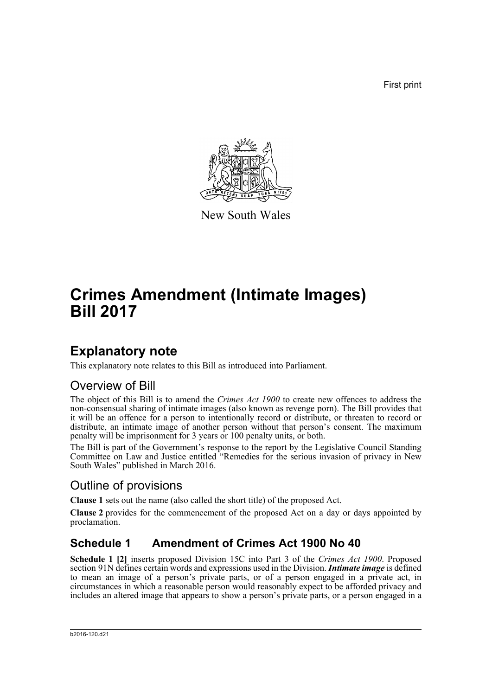First print



New South Wales

# **Crimes Amendment (Intimate Images) Bill 2017**

## **Explanatory note**

This explanatory note relates to this Bill as introduced into Parliament.

### Overview of Bill

The object of this Bill is to amend the *Crimes Act 1900* to create new offences to address the non-consensual sharing of intimate images (also known as revenge porn). The Bill provides that it will be an offence for a person to intentionally record or distribute, or threaten to record or distribute, an intimate image of another person without that person's consent. The maximum penalty will be imprisonment for 3 years or 100 penalty units, or both.

The Bill is part of the Government's response to the report by the Legislative Council Standing Committee on Law and Justice entitled "Remedies for the serious invasion of privacy in New South Wales" published in March 2016.

### Outline of provisions

**Clause 1** sets out the name (also called the short title) of the proposed Act.

**Clause 2** provides for the commencement of the proposed Act on a day or days appointed by proclamation.

### **Schedule 1 Amendment of Crimes Act 1900 No 40**

**Schedule 1 [2]** inserts proposed Division 15C into Part 3 of the *Crimes Act 1900*. Proposed section 91N defines certain words and expressions used in the Division. *Intimate image* is defined to mean an image of a person's private parts, or of a person engaged in a private act, in circumstances in which a reasonable person would reasonably expect to be afforded privacy and includes an altered image that appears to show a person's private parts, or a person engaged in a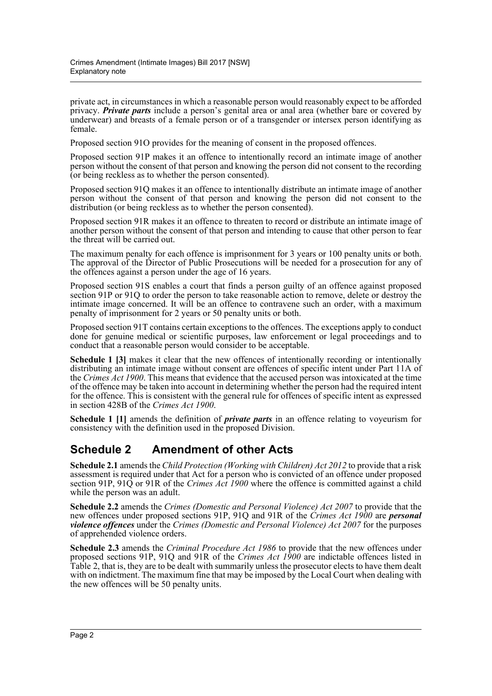private act, in circumstances in which a reasonable person would reasonably expect to be afforded privacy. *Private parts* include a person's genital area or anal area (whether bare or covered by underwear) and breasts of a female person or of a transgender or intersex person identifying as female.

Proposed section 91O provides for the meaning of consent in the proposed offences.

Proposed section 91P makes it an offence to intentionally record an intimate image of another person without the consent of that person and knowing the person did not consent to the recording (or being reckless as to whether the person consented).

Proposed section 91Q makes it an offence to intentionally distribute an intimate image of another person without the consent of that person and knowing the person did not consent to the distribution (or being reckless as to whether the person consented).

Proposed section 91R makes it an offence to threaten to record or distribute an intimate image of another person without the consent of that person and intending to cause that other person to fear the threat will be carried out.

The maximum penalty for each offence is imprisonment for 3 years or 100 penalty units or both. The approval of the Director of Public Prosecutions will be needed for a prosecution for any of the offences against a person under the age of 16 years.

Proposed section 91S enables a court that finds a person guilty of an offence against proposed section 91P or 91Q to order the person to take reasonable action to remove, delete or destroy the intimate image concerned. It will be an offence to contravene such an order, with a maximum penalty of imprisonment for 2 years or 50 penalty units or both.

Proposed section 91T contains certain exceptions to the offences. The exceptions apply to conduct done for genuine medical or scientific purposes, law enforcement or legal proceedings and to conduct that a reasonable person would consider to be acceptable.

**Schedule 1 [3]** makes it clear that the new offences of intentionally recording or intentionally distributing an intimate image without consent are offences of specific intent under Part 11A of the *Crimes Act 1900*. This means that evidence that the accused person was intoxicated at the time of the offence may be taken into account in determining whether the person had the required intent for the offence. This is consistent with the general rule for offences of specific intent as expressed in section 428B of the *Crimes Act 1900*.

**Schedule 1 [1]** amends the definition of *private parts* in an offence relating to voyeurism for consistency with the definition used in the proposed Division.

#### **Schedule 2 Amendment of other Acts**

**Schedule 2.1** amends the *Child Protection (Working with Children) Act 2012* to provide that a risk assessment is required under that Act for a person who is convicted of an offence under proposed section 91P, 91Q or 91R of the *Crimes Act 1900* where the offence is committed against a child while the person was an adult.

**Schedule 2.2** amends the *Crimes (Domestic and Personal Violence) Act 2007* to provide that the new offences under proposed sections 91P, 91Q and 91R of the *Crimes Act 1900* are *personal violence offences* under the *Crimes (Domestic and Personal Violence) Act 2007* for the purposes of apprehended violence orders.

**Schedule 2.3** amends the *Criminal Procedure Act 1986* to provide that the new offences under proposed sections 91P, 91Q and 91R of the *Crimes Act 1900* are indictable offences listed in Table 2, that is, they are to be dealt with summarily unless the prosecutor elects to have them dealt with on indictment. The maximum fine that may be imposed by the Local Court when dealing with the new offences will be 50 penalty units.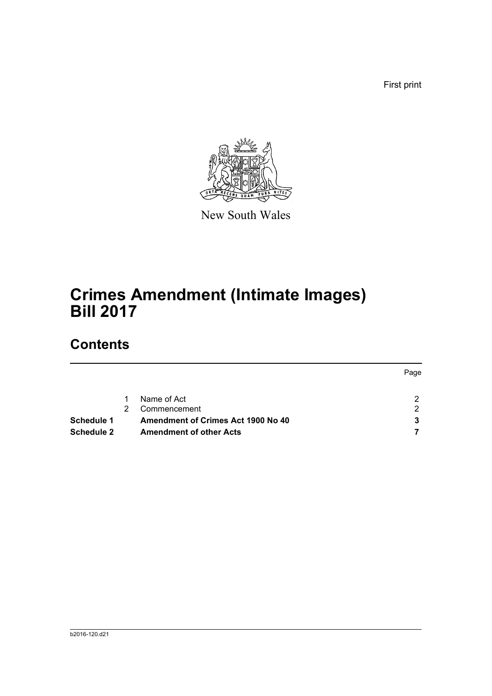First print



New South Wales

# **Crimes Amendment (Intimate Images) Bill 2017**

## **Contents**

|                                                         |  |                                | Page |
|---------------------------------------------------------|--|--------------------------------|------|
|                                                         |  | Name of Act                    |      |
|                                                         |  | Commencement                   | ົ    |
| Amendment of Crimes Act 1900 No 40<br><b>Schedule 1</b> |  |                                |      |
| Schedule 2                                              |  | <b>Amendment of other Acts</b> |      |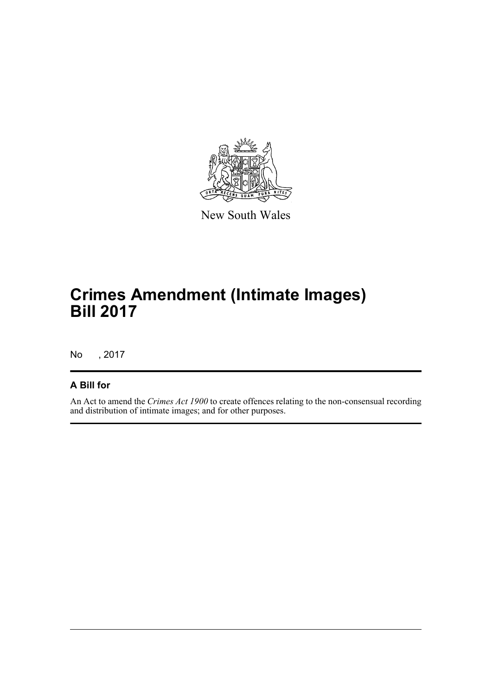

New South Wales

# **Crimes Amendment (Intimate Images) Bill 2017**

No , 2017

#### **A Bill for**

An Act to amend the *Crimes Act 1900* to create offences relating to the non-consensual recording and distribution of intimate images; and for other purposes.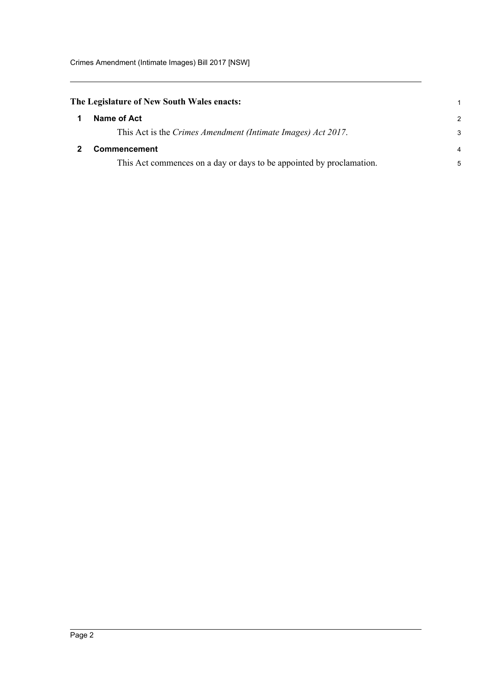Crimes Amendment (Intimate Images) Bill 2017 [NSW]

<span id="page-4-0"></span>

| The Legislature of New South Wales enacts: |  |
|--------------------------------------------|--|
|--------------------------------------------|--|

<span id="page-4-1"></span>

|              | Name of Act                                                          | $\mathcal{P}$ |  |
|--------------|----------------------------------------------------------------------|---------------|--|
|              | This Act is the Crimes Amendment (Intimate Images) Act 2017.         | 3             |  |
| $\mathbf{2}$ | <b>Commencement</b>                                                  |               |  |
|              | This Act commences on a day or days to be appointed by proclamation. | 5             |  |

1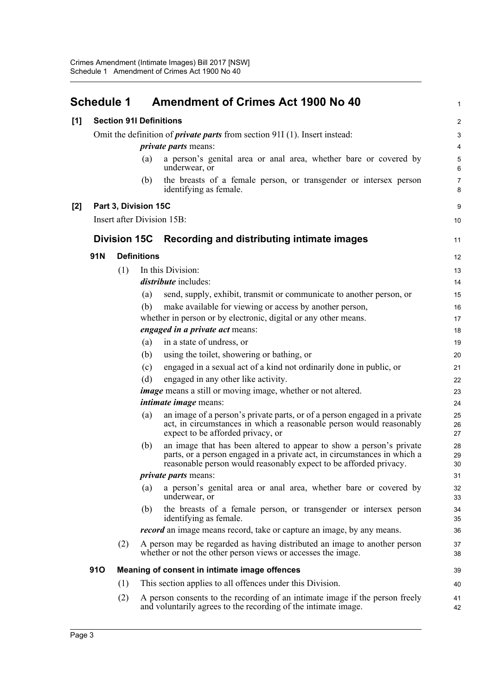<span id="page-5-0"></span>

|                              |     |                          |                                                                                                                                                                                                                      | 1                                                                                                                                                                                                                                                                                                                                                                                                                                                                                                                                                                                                                                                                                                                                                                                                                                                                                                                                                                                                                                        |
|------------------------------|-----|--------------------------|----------------------------------------------------------------------------------------------------------------------------------------------------------------------------------------------------------------------|------------------------------------------------------------------------------------------------------------------------------------------------------------------------------------------------------------------------------------------------------------------------------------------------------------------------------------------------------------------------------------------------------------------------------------------------------------------------------------------------------------------------------------------------------------------------------------------------------------------------------------------------------------------------------------------------------------------------------------------------------------------------------------------------------------------------------------------------------------------------------------------------------------------------------------------------------------------------------------------------------------------------------------------|
|                              |     |                          |                                                                                                                                                                                                                      |                                                                                                                                                                                                                                                                                                                                                                                                                                                                                                                                                                                                                                                                                                                                                                                                                                                                                                                                                                                                                                          |
|                              |     |                          |                                                                                                                                                                                                                      | 3                                                                                                                                                                                                                                                                                                                                                                                                                                                                                                                                                                                                                                                                                                                                                                                                                                                                                                                                                                                                                                        |
|                              |     |                          |                                                                                                                                                                                                                      | 4                                                                                                                                                                                                                                                                                                                                                                                                                                                                                                                                                                                                                                                                                                                                                                                                                                                                                                                                                                                                                                        |
|                              |     | (a)                      | a person's genital area or anal area, whether bare or covered by<br>underwear, or                                                                                                                                    | 5<br>6                                                                                                                                                                                                                                                                                                                                                                                                                                                                                                                                                                                                                                                                                                                                                                                                                                                                                                                                                                                                                                   |
|                              |     | (b)                      | the breasts of a female person, or transgender or intersex person<br>identifying as female.                                                                                                                          | 7<br>8                                                                                                                                                                                                                                                                                                                                                                                                                                                                                                                                                                                                                                                                                                                                                                                                                                                                                                                                                                                                                                   |
|                              |     |                          |                                                                                                                                                                                                                      | 9                                                                                                                                                                                                                                                                                                                                                                                                                                                                                                                                                                                                                                                                                                                                                                                                                                                                                                                                                                                                                                        |
| $[2]$                        |     |                          |                                                                                                                                                                                                                      |                                                                                                                                                                                                                                                                                                                                                                                                                                                                                                                                                                                                                                                                                                                                                                                                                                                                                                                                                                                                                                          |
|                              |     |                          | Recording and distributing intimate images                                                                                                                                                                           | 11                                                                                                                                                                                                                                                                                                                                                                                                                                                                                                                                                                                                                                                                                                                                                                                                                                                                                                                                                                                                                                       |
| 91N                          |     |                          |                                                                                                                                                                                                                      | 12                                                                                                                                                                                                                                                                                                                                                                                                                                                                                                                                                                                                                                                                                                                                                                                                                                                                                                                                                                                                                                       |
|                              |     |                          |                                                                                                                                                                                                                      | 13                                                                                                                                                                                                                                                                                                                                                                                                                                                                                                                                                                                                                                                                                                                                                                                                                                                                                                                                                                                                                                       |
|                              |     |                          |                                                                                                                                                                                                                      | 14                                                                                                                                                                                                                                                                                                                                                                                                                                                                                                                                                                                                                                                                                                                                                                                                                                                                                                                                                                                                                                       |
|                              |     | (a)                      | send, supply, exhibit, transmit or communicate to another person, or                                                                                                                                                 | 15                                                                                                                                                                                                                                                                                                                                                                                                                                                                                                                                                                                                                                                                                                                                                                                                                                                                                                                                                                                                                                       |
|                              |     | (b)                      | make available for viewing or access by another person,                                                                                                                                                              | 16                                                                                                                                                                                                                                                                                                                                                                                                                                                                                                                                                                                                                                                                                                                                                                                                                                                                                                                                                                                                                                       |
|                              |     |                          |                                                                                                                                                                                                                      | 17                                                                                                                                                                                                                                                                                                                                                                                                                                                                                                                                                                                                                                                                                                                                                                                                                                                                                                                                                                                                                                       |
|                              |     |                          |                                                                                                                                                                                                                      | 18                                                                                                                                                                                                                                                                                                                                                                                                                                                                                                                                                                                                                                                                                                                                                                                                                                                                                                                                                                                                                                       |
|                              |     | (a)                      | in a state of undress, or                                                                                                                                                                                            | 19                                                                                                                                                                                                                                                                                                                                                                                                                                                                                                                                                                                                                                                                                                                                                                                                                                                                                                                                                                                                                                       |
|                              |     | (b)                      | using the toilet, showering or bathing, or                                                                                                                                                                           | 20                                                                                                                                                                                                                                                                                                                                                                                                                                                                                                                                                                                                                                                                                                                                                                                                                                                                                                                                                                                                                                       |
|                              |     | (c)                      | engaged in a sexual act of a kind not ordinarily done in public, or                                                                                                                                                  | 21                                                                                                                                                                                                                                                                                                                                                                                                                                                                                                                                                                                                                                                                                                                                                                                                                                                                                                                                                                                                                                       |
|                              |     | (d)                      | engaged in any other like activity.                                                                                                                                                                                  | 22                                                                                                                                                                                                                                                                                                                                                                                                                                                                                                                                                                                                                                                                                                                                                                                                                                                                                                                                                                                                                                       |
|                              |     |                          |                                                                                                                                                                                                                      | 23                                                                                                                                                                                                                                                                                                                                                                                                                                                                                                                                                                                                                                                                                                                                                                                                                                                                                                                                                                                                                                       |
| <i>intimate image</i> means: |     |                          | 24                                                                                                                                                                                                                   |                                                                                                                                                                                                                                                                                                                                                                                                                                                                                                                                                                                                                                                                                                                                                                                                                                                                                                                                                                                                                                          |
|                              |     | (a)                      | an image of a person's private parts, or of a person engaged in a private<br>act, in circumstances in which a reasonable person would reasonably<br>expect to be afforded privacy, or                                | 25<br>26<br>27                                                                                                                                                                                                                                                                                                                                                                                                                                                                                                                                                                                                                                                                                                                                                                                                                                                                                                                                                                                                                           |
|                              |     | (b)                      | an image that has been altered to appear to show a person's private<br>parts, or a person engaged in a private act, in circumstances in which a<br>reasonable person would reasonably expect to be afforded privacy. | 28<br>29<br>30                                                                                                                                                                                                                                                                                                                                                                                                                                                                                                                                                                                                                                                                                                                                                                                                                                                                                                                                                                                                                           |
|                              |     |                          |                                                                                                                                                                                                                      | 31                                                                                                                                                                                                                                                                                                                                                                                                                                                                                                                                                                                                                                                                                                                                                                                                                                                                                                                                                                                                                                       |
|                              |     | (a)                      | a person's genital area or anal area, whether bare or covered by<br>underwear, or                                                                                                                                    | 32<br>33                                                                                                                                                                                                                                                                                                                                                                                                                                                                                                                                                                                                                                                                                                                                                                                                                                                                                                                                                                                                                                 |
|                              |     | (b)                      | the breasts of a female person, or transgender or intersex person<br>identifying as female.                                                                                                                          | 34<br>35                                                                                                                                                                                                                                                                                                                                                                                                                                                                                                                                                                                                                                                                                                                                                                                                                                                                                                                                                                                                                                 |
|                              |     |                          |                                                                                                                                                                                                                      | 36                                                                                                                                                                                                                                                                                                                                                                                                                                                                                                                                                                                                                                                                                                                                                                                                                                                                                                                                                                                                                                       |
|                              | (2) |                          |                                                                                                                                                                                                                      | 37<br>38                                                                                                                                                                                                                                                                                                                                                                                                                                                                                                                                                                                                                                                                                                                                                                                                                                                                                                                                                                                                                                 |
| <b>910</b>                   |     |                          |                                                                                                                                                                                                                      | 39                                                                                                                                                                                                                                                                                                                                                                                                                                                                                                                                                                                                                                                                                                                                                                                                                                                                                                                                                                                                                                       |
|                              | (1) |                          |                                                                                                                                                                                                                      | 40                                                                                                                                                                                                                                                                                                                                                                                                                                                                                                                                                                                                                                                                                                                                                                                                                                                                                                                                                                                                                                       |
|                              | (2) |                          |                                                                                                                                                                                                                      | 41<br>42                                                                                                                                                                                                                                                                                                                                                                                                                                                                                                                                                                                                                                                                                                                                                                                                                                                                                                                                                                                                                                 |
|                              |     | <b>Schedule 1</b><br>(1) | <b>Division 15C</b>                                                                                                                                                                                                  | <b>Amendment of Crimes Act 1900 No 40</b><br><b>Section 91I Definitions</b><br>Omit the definition of <i>private parts</i> from section 91I (1). Insert instead:<br><i>private parts</i> means:<br>Part 3, Division 15C<br>Insert after Division 15B:<br><b>Definitions</b><br>In this Division:<br><i>distribute</i> includes:<br>whether in person or by electronic, digital or any other means.<br><i>engaged in a private act means:</i><br><i>image</i> means a still or moving image, whether or not altered.<br><i>private parts</i> means:<br>record an image means record, take or capture an image, by any means.<br>A person may be regarded as having distributed an image to another person<br>whether or not the other person views or accesses the image.<br>Meaning of consent in intimate image offences<br>This section applies to all offences under this Division.<br>A person consents to the recording of an intimate image if the person freely<br>and voluntarily agrees to the recording of the intimate image. |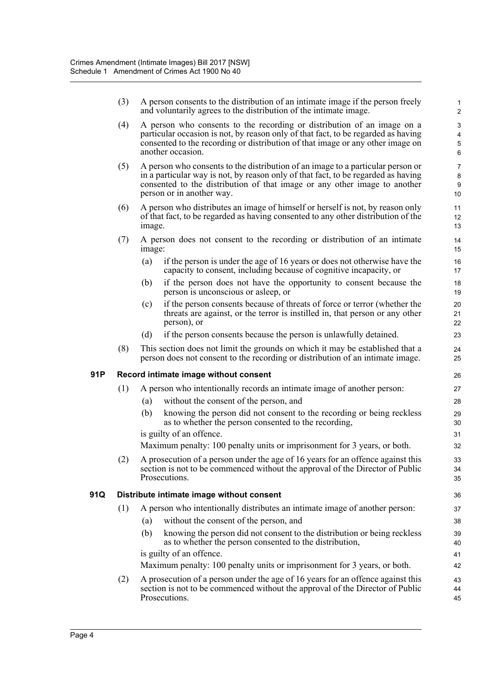(3) A person consents to the distribution of an intimate image if the person freely and voluntarily agrees to the distribution of the intimate image.

- (4) A person who consents to the recording or distribution of an image on a particular occasion is not, by reason only of that fact, to be regarded as having consented to the recording or distribution of that image or any other image on another occasion.
- (5) A person who consents to the distribution of an image to a particular person or in a particular way is not, by reason only of that fact, to be regarded as having consented to the distribution of that image or any other image to another person or in another way.
- (6) A person who distributes an image of himself or herself is not, by reason only of that fact, to be regarded as having consented to any other distribution of the image.
- (7) A person does not consent to the recording or distribution of an intimate image:
	- (a) if the person is under the age of 16 years or does not otherwise have the capacity to consent, including because of cognitive incapacity, or
	- (b) if the person does not have the opportunity to consent because the person is unconscious or asleep, or
	- (c) if the person consents because of threats of force or terror (whether the threats are against, or the terror is instilled in, that person or any other person), or
	- (d) if the person consents because the person is unlawfully detained.
- (8) This section does not limit the grounds on which it may be established that a person does not consent to the recording or distribution of an intimate image.

#### **91P Record intimate image without consent**

- (1) A person who intentionally records an intimate image of another person:
	- (a) without the consent of the person, and
	- (b) knowing the person did not consent to the recording or being reckless as to whether the person consented to the recording,

is guilty of an offence. Maximum penalty: 100 penalty units or imprisonment for 3 years, or both.

(2) A prosecution of a person under the age of 16 years for an offence against this section is not to be commenced without the approval of the Director of Public Prosecutions.

#### **91Q Distribute intimate image without consent**

- (1) A person who intentionally distributes an intimate image of another person:
	- (a) without the consent of the person, and
	- (b) knowing the person did not consent to the distribution or being reckless as to whether the person consented to the distribution,

is guilty of an offence.

Maximum penalty: 100 penalty units or imprisonment for 3 years, or both.

(2) A prosecution of a person under the age of 16 years for an offence against this section is not to be commenced without the approval of the Director of Public Prosecutions.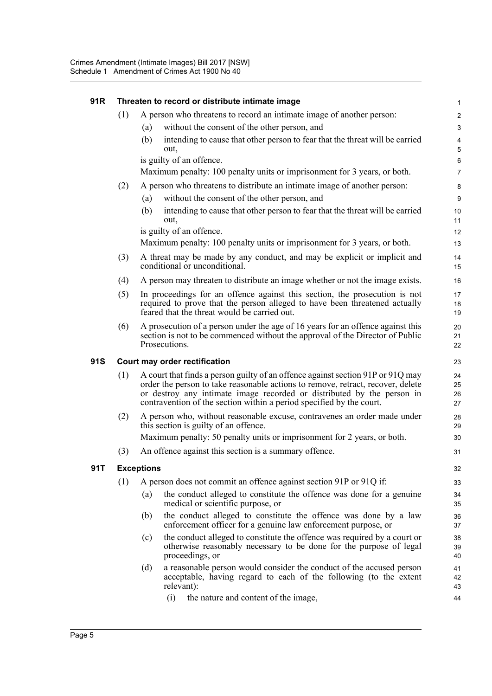| 91R | Threaten to record or distribute intimate image |                                                                                                                                                                                                                                                                                                                      |                                           |  |  |
|-----|-------------------------------------------------|----------------------------------------------------------------------------------------------------------------------------------------------------------------------------------------------------------------------------------------------------------------------------------------------------------------------|-------------------------------------------|--|--|
|     | (1)                                             | A person who threatens to record an intimate image of another person:                                                                                                                                                                                                                                                | $\overline{c}$                            |  |  |
|     |                                                 | without the consent of the other person, and<br>(a)                                                                                                                                                                                                                                                                  | 3                                         |  |  |
|     |                                                 | intending to cause that other person to fear that the threat will be carried<br>(b)<br>out,                                                                                                                                                                                                                          | $\overline{\mathbf{4}}$<br>$\overline{5}$ |  |  |
|     |                                                 | is guilty of an offence.                                                                                                                                                                                                                                                                                             | 6                                         |  |  |
|     |                                                 | Maximum penalty: 100 penalty units or imprisonment for 3 years, or both.                                                                                                                                                                                                                                             | $\overline{7}$                            |  |  |
|     | (2)                                             | A person who threatens to distribute an intimate image of another person:                                                                                                                                                                                                                                            | 8                                         |  |  |
|     |                                                 | without the consent of the other person, and<br>(a)                                                                                                                                                                                                                                                                  | 9                                         |  |  |
|     |                                                 | intending to cause that other person to fear that the threat will be carried<br>(b)<br>out,                                                                                                                                                                                                                          | 10<br>11                                  |  |  |
|     |                                                 | is guilty of an offence.                                                                                                                                                                                                                                                                                             | 12                                        |  |  |
|     |                                                 | Maximum penalty: 100 penalty units or imprisonment for 3 years, or both.                                                                                                                                                                                                                                             | 13                                        |  |  |
|     | (3)                                             | A threat may be made by any conduct, and may be explicit or implicit and<br>conditional or unconditional.                                                                                                                                                                                                            | 14<br>15                                  |  |  |
|     | (4)                                             | A person may threaten to distribute an image whether or not the image exists.                                                                                                                                                                                                                                        | 16                                        |  |  |
|     | (5)                                             | In proceedings for an offence against this section, the prosecution is not<br>required to prove that the person alleged to have been threatened actually<br>feared that the threat would be carried out.                                                                                                             | 17<br>18<br>19                            |  |  |
|     | (6)                                             | A prosecution of a person under the age of 16 years for an offence against this<br>section is not to be commenced without the approval of the Director of Public<br>Prosecutions.                                                                                                                                    | 20<br>21<br>22                            |  |  |
| 91S | Court may order rectification                   |                                                                                                                                                                                                                                                                                                                      |                                           |  |  |
|     | (1)                                             | A court that finds a person guilty of an offence against section 91P or 91Q may<br>order the person to take reasonable actions to remove, retract, recover, delete<br>or destroy any intimate image recorded or distributed by the person in<br>contravention of the section within a period specified by the court. |                                           |  |  |
|     | (2)                                             | A person who, without reasonable excuse, contravenes an order made under<br>this section is guilty of an offence.                                                                                                                                                                                                    |                                           |  |  |
|     |                                                 | Maximum penalty: 50 penalty units or imprisonment for 2 years, or both.                                                                                                                                                                                                                                              |                                           |  |  |
|     | (3)                                             | An offence against this section is a summary offence.                                                                                                                                                                                                                                                                |                                           |  |  |
| 91T | <b>Exceptions</b>                               |                                                                                                                                                                                                                                                                                                                      |                                           |  |  |
|     | (1)                                             | A person does not commit an offence against section 91P or 91Q if:                                                                                                                                                                                                                                                   | 33                                        |  |  |
|     |                                                 | the conduct alleged to constitute the offence was done for a genuine<br>(a)<br>medical or scientific purpose, or                                                                                                                                                                                                     | 34<br>35                                  |  |  |
|     |                                                 | the conduct alleged to constitute the offence was done by a law<br>(b)<br>enforcement officer for a genuine law enforcement purpose, or                                                                                                                                                                              | 36<br>37                                  |  |  |
|     |                                                 | the conduct alleged to constitute the offence was required by a court or<br>(c)<br>otherwise reasonably necessary to be done for the purpose of legal<br>proceedings, or                                                                                                                                             | 38<br>39<br>40                            |  |  |
|     |                                                 | a reasonable person would consider the conduct of the accused person<br>(d)<br>acceptable, having regard to each of the following (to the extent<br>relevant):                                                                                                                                                       | 41<br>42<br>43                            |  |  |
|     |                                                 | (i)<br>the nature and content of the image,                                                                                                                                                                                                                                                                          | 44                                        |  |  |
|     |                                                 |                                                                                                                                                                                                                                                                                                                      |                                           |  |  |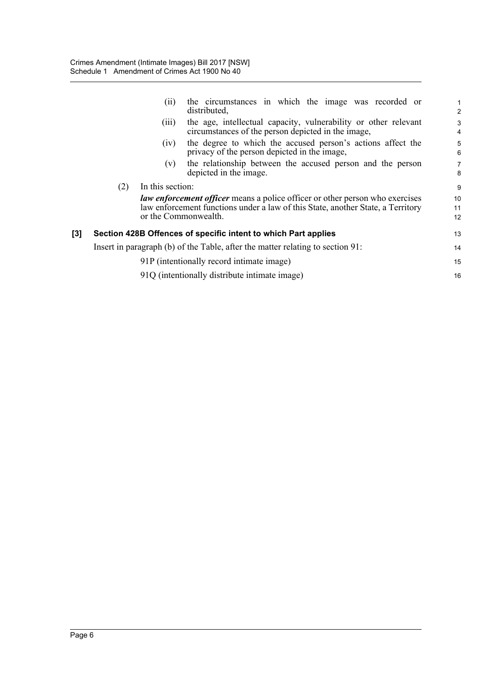|     |     | (11)             | the circumstances in which the image was recorded or<br>distributed,                                                  | 1<br>$\overline{2}$ |
|-----|-----|------------------|-----------------------------------------------------------------------------------------------------------------------|---------------------|
|     |     | (111)            | the age, intellectual capacity, vulnerability or other relevant<br>circumstances of the person depicted in the image, | 3<br>$\overline{4}$ |
|     |     | (1V)             | the degree to which the accused person's actions affect the<br>privacy of the person depicted in the image,           | 5<br>6              |
|     |     | (V)              | the relationship between the accused person and the person<br>depicted in the image.                                  | $\overline{7}$<br>8 |
|     | (2) | In this section: |                                                                                                                       | 9                   |
|     |     |                  | <i>law enforcement officer</i> means a police officer or other person who exercises                                   | 10                  |
|     |     |                  | law enforcement functions under a law of this State, another State, a Territory                                       | 11                  |
|     |     |                  | or the Commonwealth.                                                                                                  | 12                  |
| [3] |     |                  | Section 428B Offences of specific intent to which Part applies                                                        | 13                  |
|     |     |                  | Insert in paragraph (b) of the Table, after the matter relating to section 91:                                        | 14                  |
|     |     |                  | 91P (intentionally record intimate image)                                                                             | 15                  |
|     |     |                  | 91Q (intentionally distribute intimate image)                                                                         | 16                  |